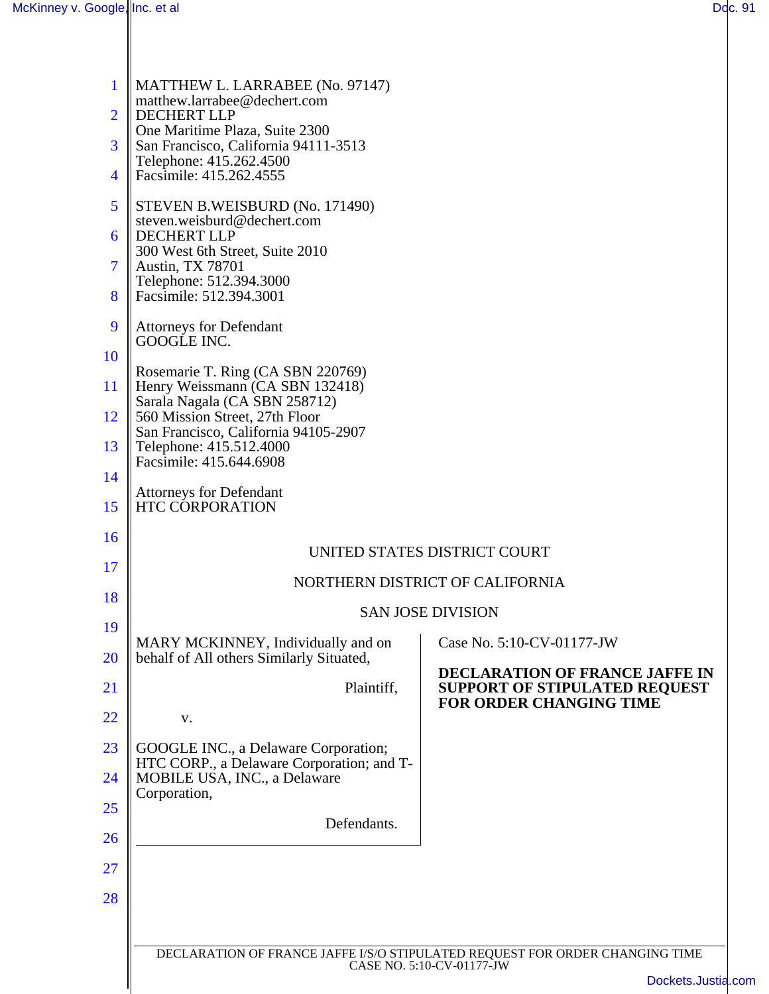| <b>DECLARATION OF FRANCE JAFFE IN</b><br><b>SUPPORT OF STIPULATED REQUEST</b> |
|-------------------------------------------------------------------------------|
|                                                                               |
|                                                                               |
|                                                                               |
|                                                                               |
|                                                                               |
|                                                                               |
|                                                                               |
|                                                                               |
| DECLARATION OF FRANCE JAFFE I/S/O STIPULATED REQUEST FOR ORDER CHANGING TIME  |
| Dockets.Justia.com                                                            |
|                                                                               |